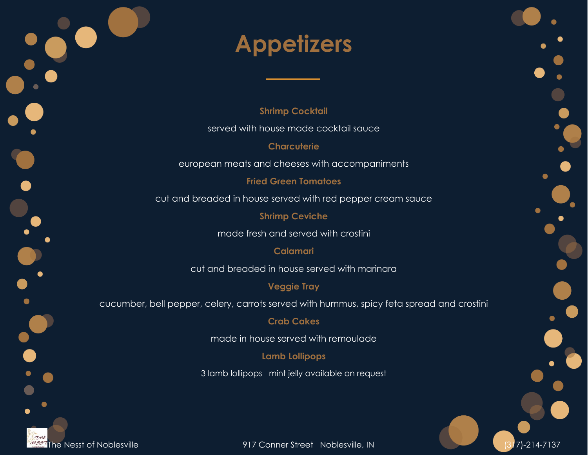# **Appetizers**

**Shrimp Cocktail**

served with house made cocktail sauce

**Charcuterie**

european meats and cheeses with accompaniments

**Fried Green Tomatoes**

cut and breaded in house served with red pepper cream sauce

**Shrimp Ceviche**

made fresh and served with crostini

### **Calamari**

cut and breaded in house served with marinara

## **Veggie Tray**

cucumber, bell pepper, celery, carrots served with hummus, spicy feta spread and crostini

### **Crab Cakes**

made in house served with remoulade

### **Lamb Lollipops**

3 lamb lollipops mint jelly available on request



The Nesst of Noblesville **1920 and 1931 The Nesst of Noblesville**, IN (317)-214-7137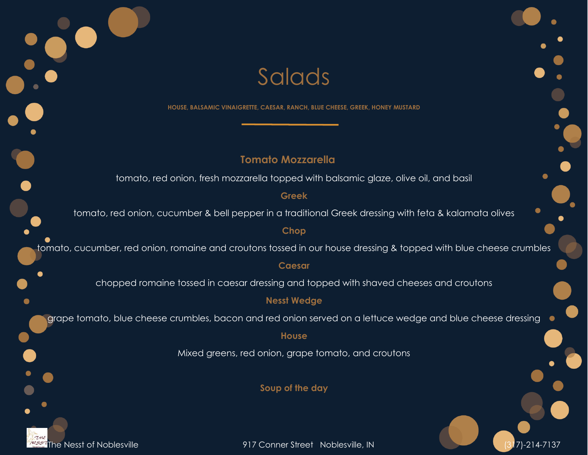

The Nesst of Noblesville 917 Conner Street Noblesville, IN (317)-214-7137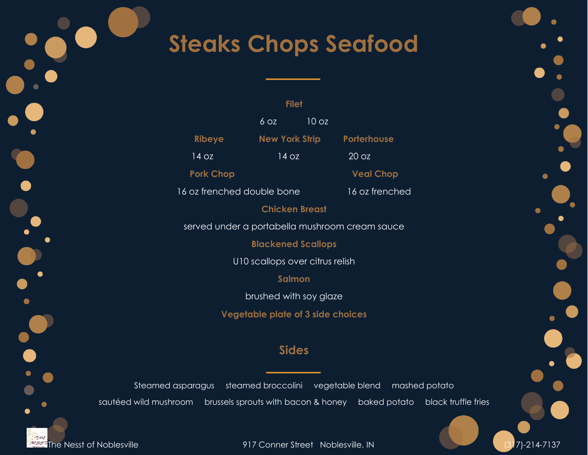## **Steaks Chops Seafood**

|           | <b>Filet</b>     |                       |       |                  |
|-----------|------------------|-----------------------|-------|------------------|
| e i       |                  | $6$ OZ                | 10 oz |                  |
| $\bullet$ | <b>Ribeye</b>    | <b>New York Strip</b> |       | Porterhouse      |
|           | 14 oz            | 14 oz                 |       | 20 oz            |
|           | <b>Pork Chop</b> |                       |       | <b>Veal Chop</b> |

16 oz frenched double bone 16 oz frenched

**Chicken Breast**

served under a portabella mushroom cream sauce

**Blackened Scallops**

U10 scallops over citrus relish

**Salmon**

brushed with soy glaze

**Vegetable plate of 3 side choices**

## **Sides**

Steamed asparagus steamed broccolini vegetable blend mashed potato sautéed wild mushroom brussels sprouts with bacon & honey baked potato black truffle fries

The Nesst of Noblesville **1917 Conner Street Noblesville, IN** (317)-214-7137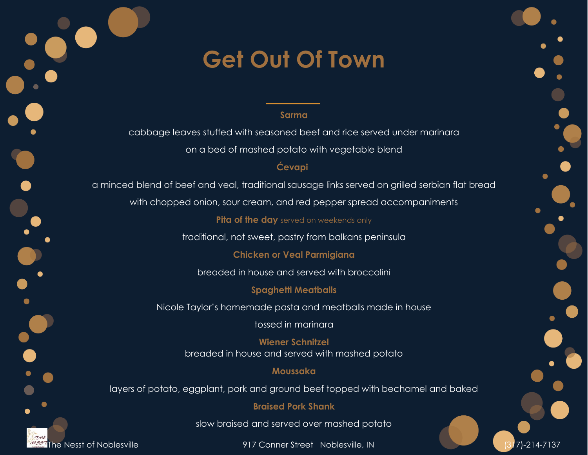## **Get Out Of Town**

#### **Sarma**

cabbage leaves stuffed with seasoned beef and rice served under marinara on a bed of mashed potato with vegetable blend

### **Ćevapi**

a minced blend of beef and veal, traditional sausage links served on grilled serbian flat bread

with chopped onion, sour cream, and red pepper spread accompaniments

**Pita of the day** served on weekends only

traditional, not sweet, pastry from balkans peninsula

**Chicken or Veal Parmigiana**

breaded in house and served with broccolini

**Spaghetti Meatballs**

Nicole Taylor's homemade pasta and meatballs made in house

tossed in marinara

**Wiener Schnitzel** breaded in house and served with mashed potato

### **Moussaka**

layers of potato, eggplant, pork and ground beef topped with bechamel and baked

### **Braised Pork Shank**

slow braised and served over mashed potato

The Nesst of Noblesville 917 Conner Street Noblesville, IN (317)-214-7137